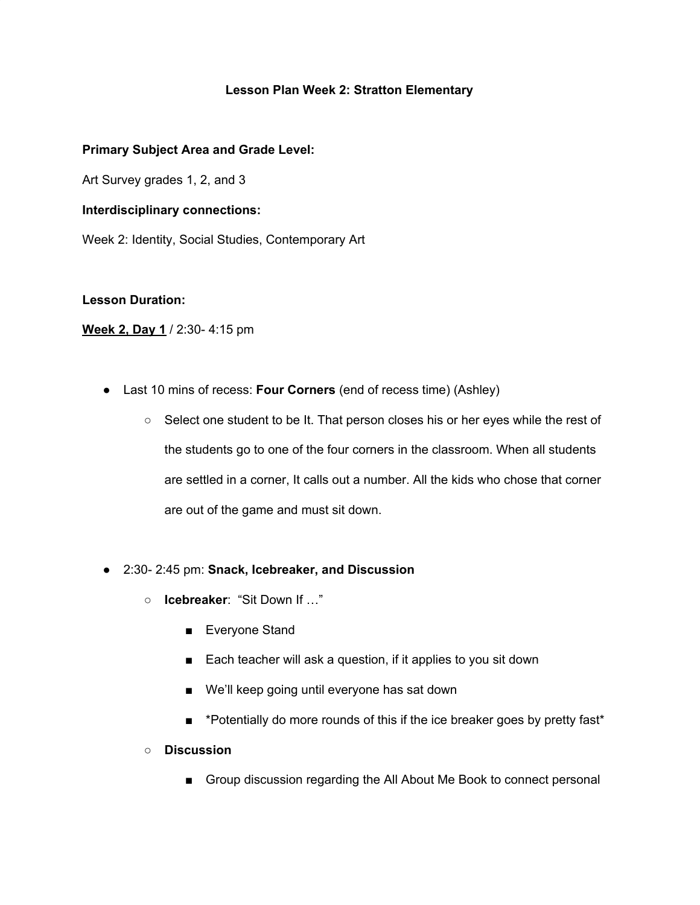### **Lesson Plan Week 2: Stratton Elementary**

### **Primary Subject Area and Grade Level:**

Art Survey grades 1, 2, and 3

#### **Interdisciplinary connections:**

Week 2: Identity, Social Studies, Contemporary Art

### **Lesson Duration:**

### **Week 2, Day 1** / 2:30- 4:15 pm

- Last 10 mins of recess: **Four Corners** (end of recess time) (Ashley)
	- Select one student to be It. That person closes his or her eyes while the rest of the students go to one of the four corners in the classroom. When all students are settled in a corner, It calls out a number. All the kids who chose that corner are out of the game and must sit down.
- 2:30- 2:45 pm: **Snack, Icebreaker, and Discussion**
	- **Icebreaker**: "Sit Down If …"
		- Everyone Stand
		- Each teacher will ask a question, if it applies to you sit down
		- We'll keep going until everyone has sat down
		- \*Potentially do more rounds of this if the ice breaker goes by pretty fast\*
	- **○ Discussion**
		- Group discussion regarding the All About Me Book to connect personal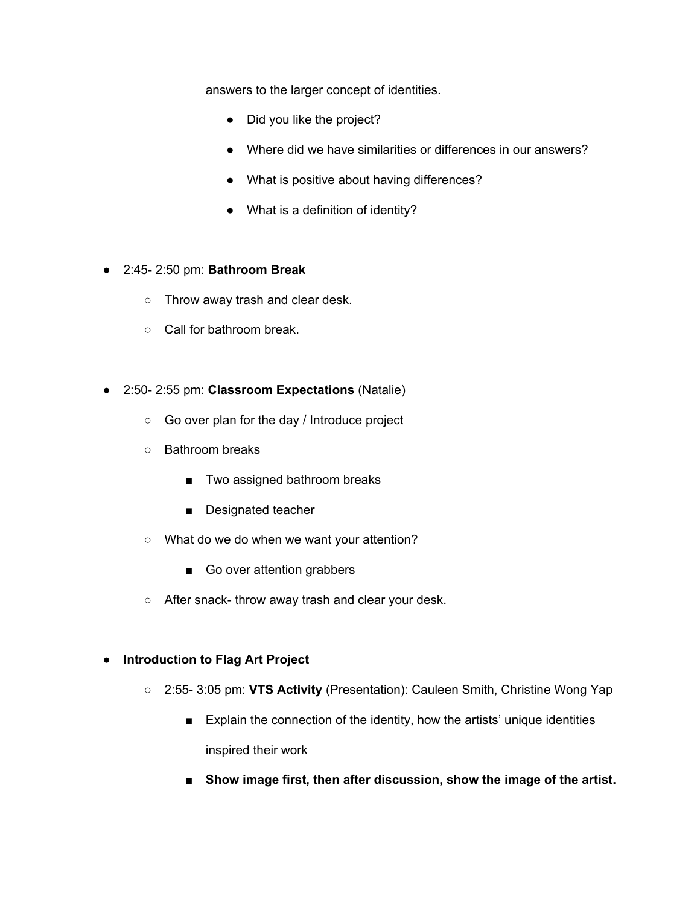answers to the larger concept of identities.

- Did you like the project?
- Where did we have similarities or differences in our answers?
- What is positive about having differences?
- What is a definition of identity?
- 2:45- 2:50 pm: **Bathroom Break**
	- Throw away trash and clear desk.
	- Call for bathroom break.
- 2:50- 2:55 pm: **Classroom Expectations** (Natalie)
	- Go over plan for the day / Introduce project
	- Bathroom breaks
		- Two assigned bathroom breaks
		- Designated teacher
	- What do we do when we want your attention?
		- Go over attention grabbers
	- After snack- throw away trash and clear your desk.
- **Introduction to Flag Art Project**
	- 2:55- 3:05 pm: **VTS Activity** (Presentation): Cauleen Smith, Christine Wong Yap
		- Explain the connection of the identity, how the artists' unique identities inspired their work
		- **■ Show image first, then after discussion, show the image of the artist.**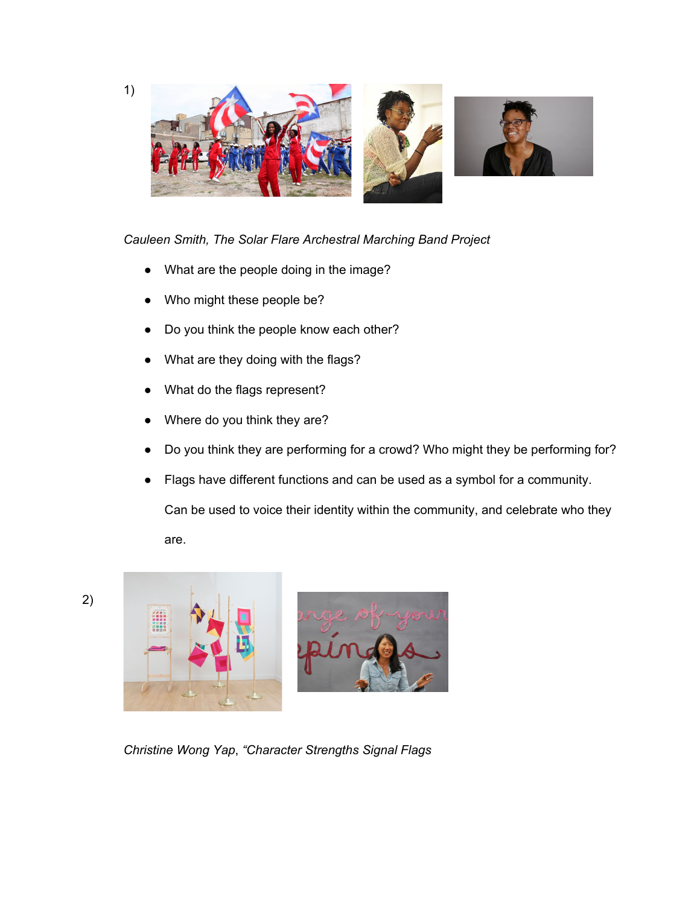

## *Cauleen Smith, The Solar Flare Archestral Marching Band Project*

- What are the people doing in the image?
- Who might these people be?
- Do you think the people know each other?
- What are they doing with the flags?
- What do the flags represent?
- Where do you think they are?
- Do you think they are performing for a crowd? Who might they be performing for?
- Flags have different functions and can be used as a symbol for a community.

Can be used to voice their identity within the community, and celebrate who they

are.





*Christine Wong Yap*, *"Character Strengths Signal Flags*

1)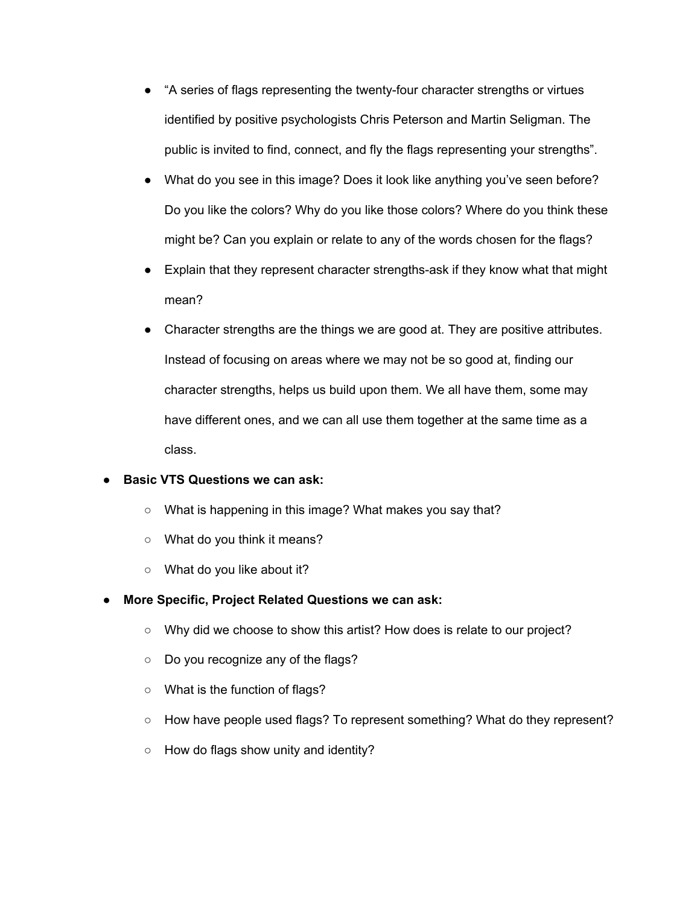- "A series of flags representing the twenty-four character strengths or virtues identified by positive psychologists Chris Peterson and Martin Seligman. The public is invited to find, connect, and fly the flags representing your strengths".
- What do you see in this image? Does it look like anything you've seen before? Do you like the colors? Why do you like those colors? Where do you think these might be? Can you explain or relate to any of the words chosen for the flags?
- Explain that they represent character strengths-ask if they know what that might mean?
- Character strengths are the things we are good at. They are positive attributes. Instead of focusing on areas where we may not be so good at, finding our character strengths, helps us build upon them. We all have them, some may have different ones, and we can all use them together at the same time as a class.

### **● Basic VTS Questions we can ask:**

- What is happening in this image? What makes you say that?
- What do you think it means?
- What do you like about it?
- **● More Specific, Project Related Questions we can ask:**
	- Why did we choose to show this artist? How does is relate to our project?
	- Do you recognize any of the flags?
	- What is the function of flags?
	- How have people used flags? To represent something? What do they represent?
	- How do flags show unity and identity?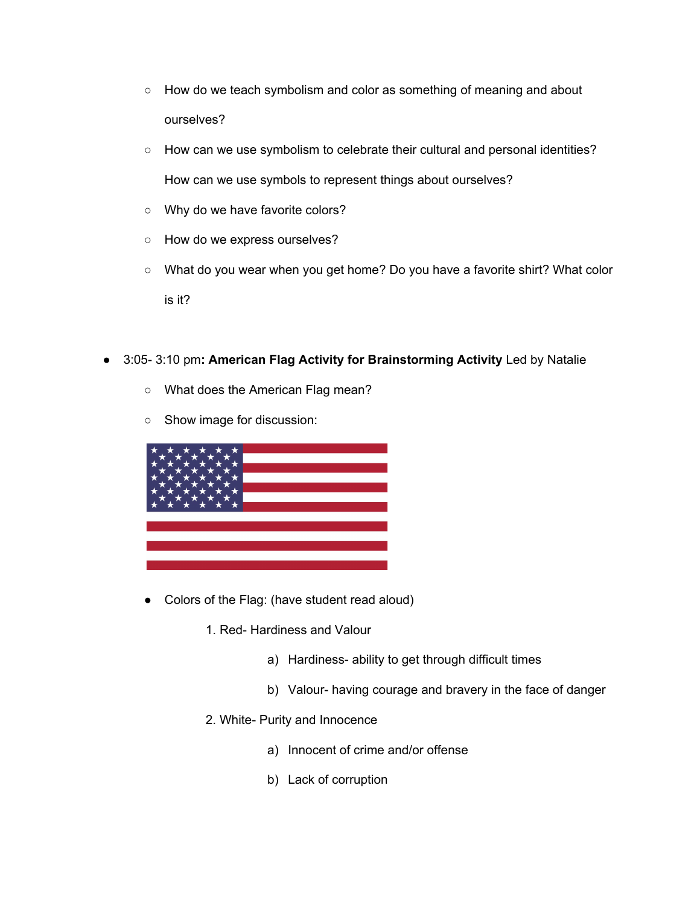- How do we teach symbolism and color as something of meaning and about ourselves?
- How can we use symbolism to celebrate their cultural and personal identities? How can we use symbols to represent things about ourselves?
- Why do we have favorite colors?
- How do we express ourselves?
- What do you wear when you get home? Do you have a favorite shirt? What color is it?
- **●** 3:05- 3:10 pm**: American Flag Activity for Brainstorming Activity** Led by Natalie
	- What does the American Flag mean?
	- Show image for discussion:



- Colors of the Flag: (have student read aloud)
	- 1. Red- Hardiness and Valour
		- a) Hardiness- ability to get through difficult times
		- b) Valour- having courage and bravery in the face of danger
	- 2. White- Purity and Innocence
		- a) Innocent of crime and/or offense
		- b) Lack of corruption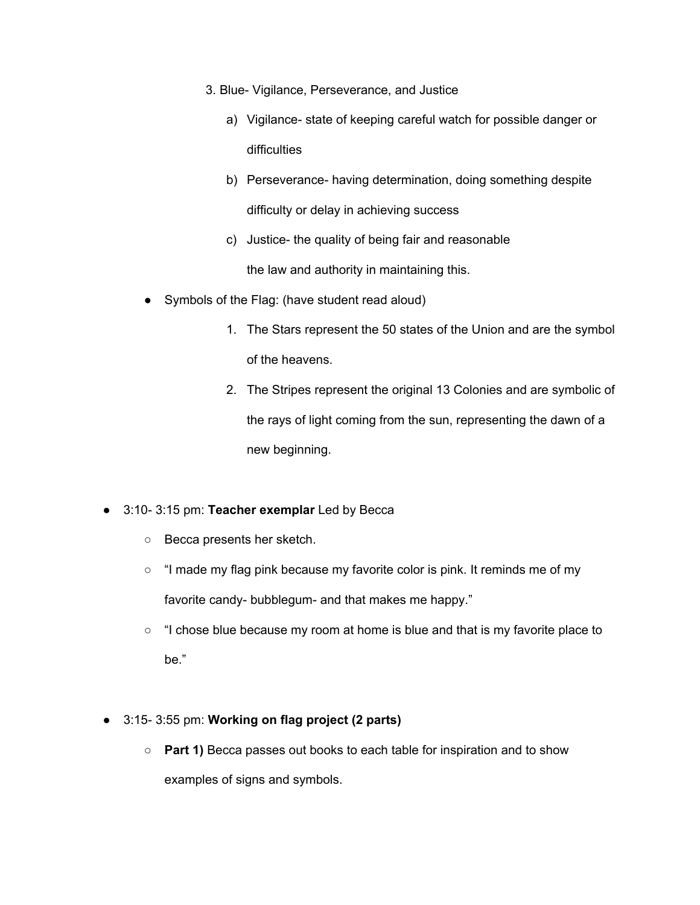- 3. Blue- Vigilance, Perseverance, and Justice
	- a) Vigilance- state of keeping careful watch for possible danger or difficulties
	- b) Perseverance- having determination, doing something despite difficulty or delay in achieving success
	- c) Justice- the quality of being fair and reasonable the law and authority in maintaining this.
- Symbols of the Flag: (have student read aloud)
	- 1. The Stars represent the 50 states of the Union and are the symbol of the heavens.
	- 2. The Stripes represent the original 13 Colonies and are symbolic of the rays of light coming from the sun, representing the dawn of a new beginning.
- 3:10- 3:15 pm: **Teacher exemplar** Led by Becca
	- Becca presents her sketch.
	- "I made my flag pink because my favorite color is pink. It reminds me of my favorite candy- bubblegum- and that makes me happy."
	- "I chose blue because my room at home is blue and that is my favorite place to be."
- 3:15- 3:55 pm: **Working on flag project (2 parts)**
	- **Part 1)** Becca passes out books to each table for inspiration and to show examples of signs and symbols.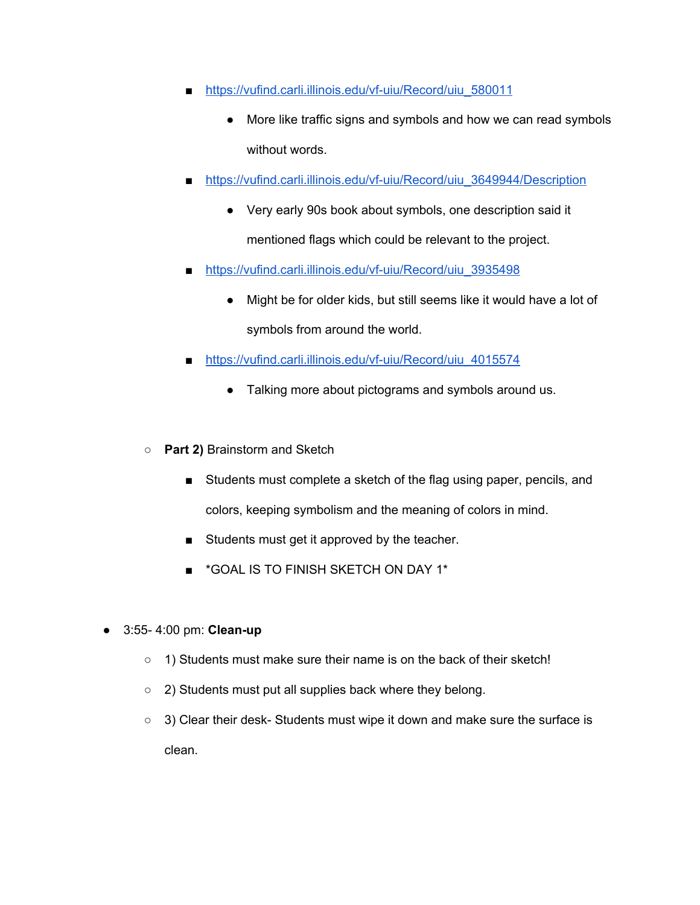- [https://vufind.carli.illinois.edu/vf-uiu/Record/uiu\\_580011](https://vufind.carli.illinois.edu/vf-uiu/Record/uiu_580011)
	- More like traffic signs and symbols and how we can read symbols without words.
- [https://vufind.carli.illinois.edu/vf-uiu/Record/uiu\\_3649944/Description](https://vufind.carli.illinois.edu/vf-uiu/Record/uiu_3649944/Description)
	- Very early 90s book about symbols, one description said it mentioned flags which could be relevant to the project.
- [https://vufind.carli.illinois.edu/vf-uiu/Record/uiu\\_3935498](https://vufind.carli.illinois.edu/vf-uiu/Record/uiu_3935498)
	- Might be for older kids, but still seems like it would have a lot of symbols from around the world.
- [https://vufind.carli.illinois.edu/vf-uiu/Record/uiu\\_4015574](https://vufind.carli.illinois.edu/vf-uiu/Record/uiu_4015574)
	- Talking more about pictograms and symbols around us.
- **Part 2)** Brainstorm and Sketch
	- Students must complete a sketch of the flag using paper, pencils, and colors, keeping symbolism and the meaning of colors in mind.
	- Students must get it approved by the teacher.
	- \*GOAL IS TO FINISH SKETCH ON DAY 1\*
- 3:55- 4:00 pm: **Clean-up**
	- 1) Students must make sure their name is on the back of their sketch!
	- 2) Students must put all supplies back where they belong.
	- 3) Clear their desk- Students must wipe it down and make sure the surface is clean.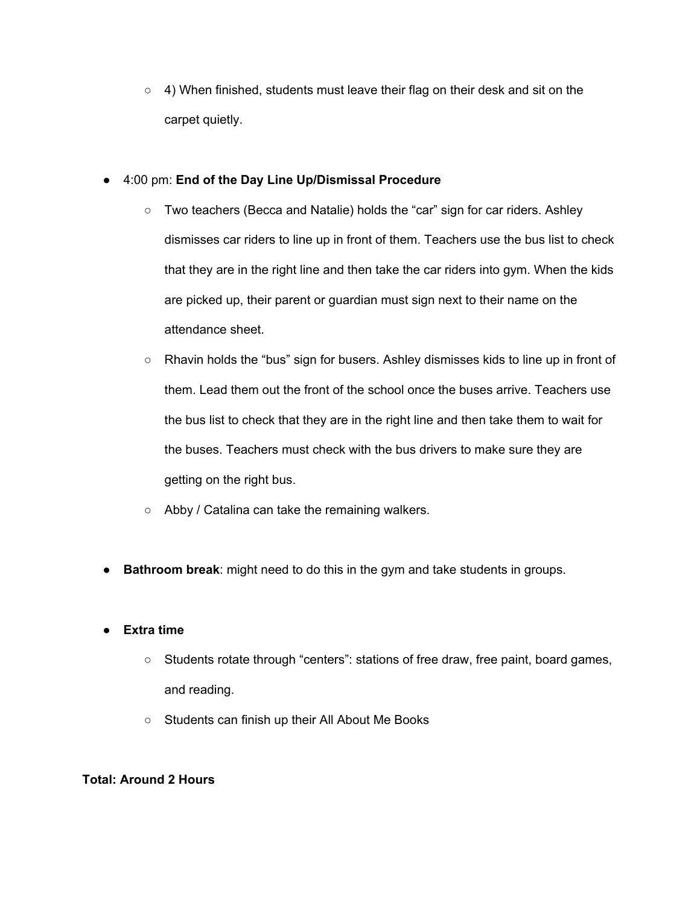○ 4) When finished, students must leave their flag on their desk and sit on the carpet quietly.

# ● 4:00 pm: **End of the Day Line Up/Dismissal Procedure**

- Two teachers (Becca and Natalie) holds the "car" sign for car riders. Ashley dismisses car riders to line up in front of them. Teachers use the bus list to check that they are in the right line and then take the car riders into gym. When the kids are picked up, their parent or guardian must sign next to their name on the attendance sheet.
- Rhavin holds the "bus" sign for busers. Ashley dismisses kids to line up in front of them. Lead them out the front of the school once the buses arrive. Teachers use the bus list to check that they are in the right line and then take them to wait for the buses. Teachers must check with the bus drivers to make sure they are getting on the right bus.
- Abby / Catalina can take the remaining walkers.
- **Bathroom break**: might need to do this in the gym and take students in groups.

# **● Extra time**

- Students rotate through "centers": stations of free draw, free paint, board games, and reading.
- Students can finish up their All About Me Books

# **Total: Around 2 Hours**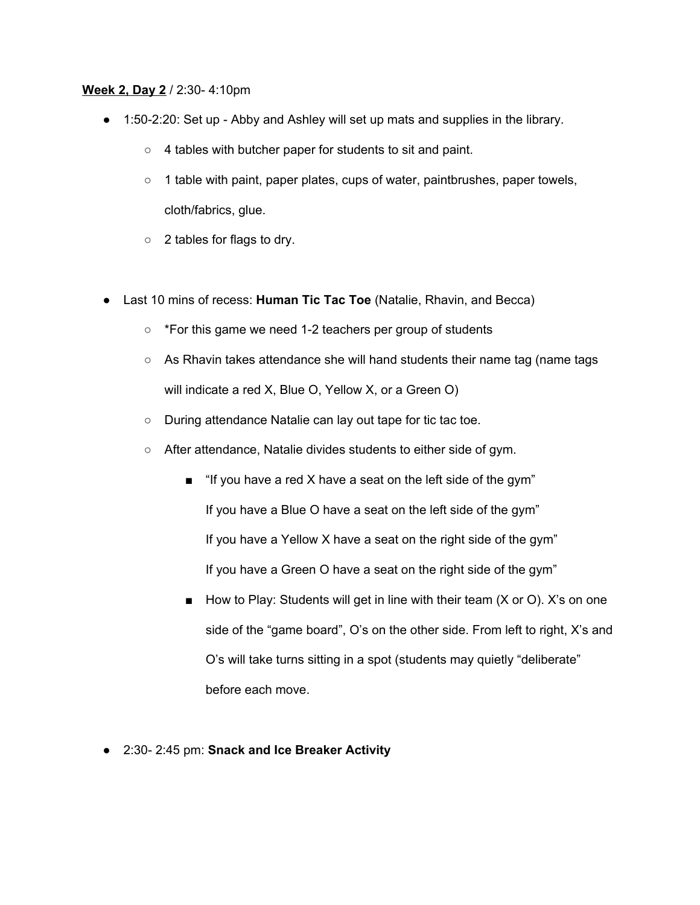#### **Week 2, Day 2** / 2:30- 4:10pm

- 1:50-2:20: Set up Abby and Ashley will set up mats and supplies in the library.
	- 4 tables with butcher paper for students to sit and paint.
	- 1 table with paint, paper plates, cups of water, paintbrushes, paper towels, cloth/fabrics, glue.
	- 2 tables for flags to dry.
- Last 10 mins of recess: **Human Tic Tac Toe** (Natalie, Rhavin, and Becca)
	- \*For this game we need 1-2 teachers per group of students
	- As Rhavin takes attendance she will hand students their name tag (name tags will indicate a red X, Blue O, Yellow X, or a Green O)
	- During attendance Natalie can lay out tape for tic tac toe.
	- After attendance, Natalie divides students to either side of gym.
		- "If you have a red X have a seat on the left side of the gym" If you have a Blue O have a seat on the left side of the gym" If you have a Yellow X have a seat on the right side of the gym" If you have a Green O have a seat on the right side of the gym"
		- How to Play: Students will get in line with their team (X or O). X's on one side of the "game board", O's on the other side. From left to right, X's and O's will take turns sitting in a spot (students may quietly "deliberate" before each move.
- 2:30- 2:45 pm: **Snack and Ice Breaker Activity**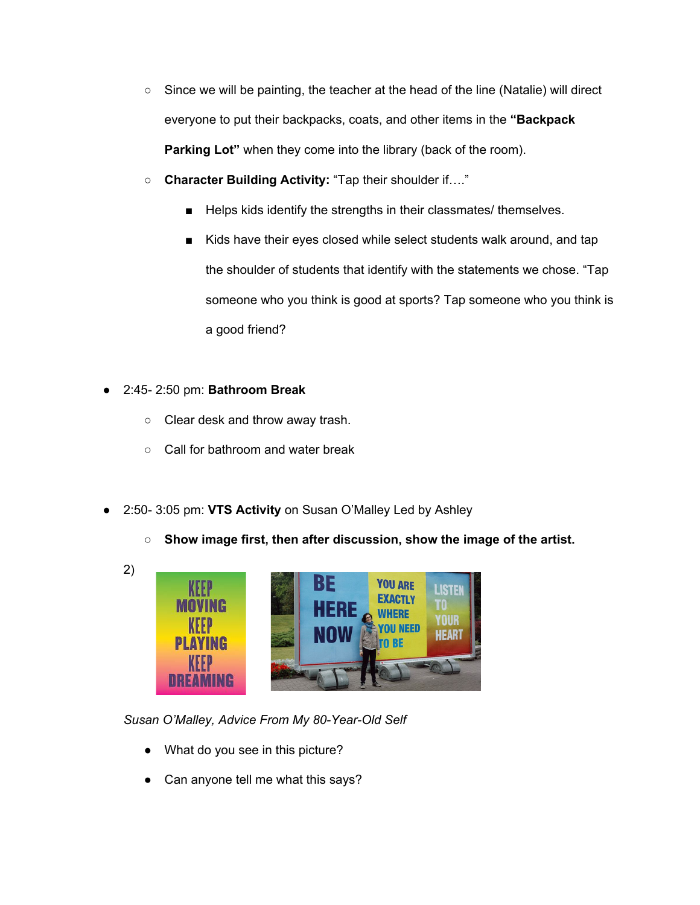- $\circ$  Since we will be painting, the teacher at the head of the line (Natalie) will direct everyone to put their backpacks, coats, and other items in the **"Backpack Parking Lot"** when they come into the library (back of the room).
- **Character Building Activity:** "Tap their shoulder if…."
	- Helps kids identify the strengths in their classmates/ themselves.
	- Kids have their eyes closed while select students walk around, and tap the shoulder of students that identify with the statements we chose. "Tap someone who you think is good at sports? Tap someone who you think is a good friend?

# ● 2:45- 2:50 pm: **Bathroom Break**

- Clear desk and throw away trash.
- Call for bathroom and water break
- 2:50- 3:05 pm: **VTS Activity** on Susan O'Malley Led by Ashley
	- **○ Show image first, then after discussion, show the image of the artist.**



*Susan O'Malley, Advice From My 80-Year-Old Self*

- What do you see in this picture?
- Can anyone tell me what this says?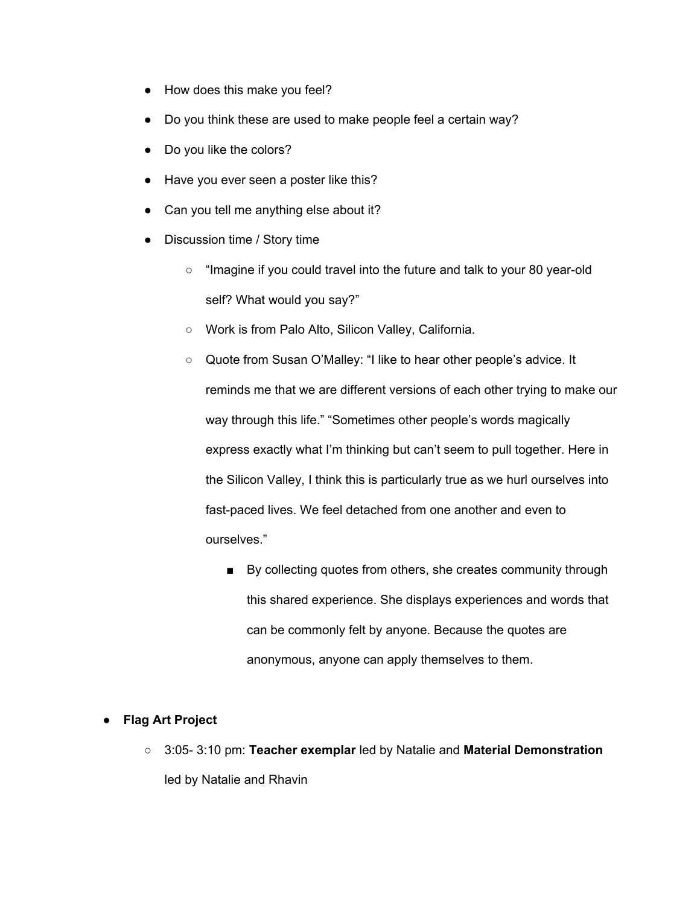- How does this make you feel?
- Do you think these are used to make people feel a certain way?
- Do you like the colors?
- Have you ever seen a poster like this?
- Can you tell me anything else about it?
- Discussion time / Story time
	- "Imagine if you could travel into the future and talk to your 80 year-old self? What would you say?"
	- Work is from Palo Alto, Silicon Valley, California.

○ Quote from Susan O'Malley: "I like to hear other people's advice. It reminds me that we are different versions of each other trying to make our way through this life." "Sometimes other people's words magically express exactly what I'm thinking but can't seem to pull together. Here in the Silicon Valley, I think this is particularly true as we hurl ourselves into fast-paced lives. We feel detached from one another and even to ourselves."

■ By collecting quotes from others, she creates community through this shared experience. She displays experiences and words that can be commonly felt by anyone. Because the quotes are anonymous, anyone can apply themselves to them.

### ● **Flag Art Project**

○ 3:05- 3:10 pm: **Teacher exemplar** led by Natalie and **Material Demonstration** led by Natalie and Rhavin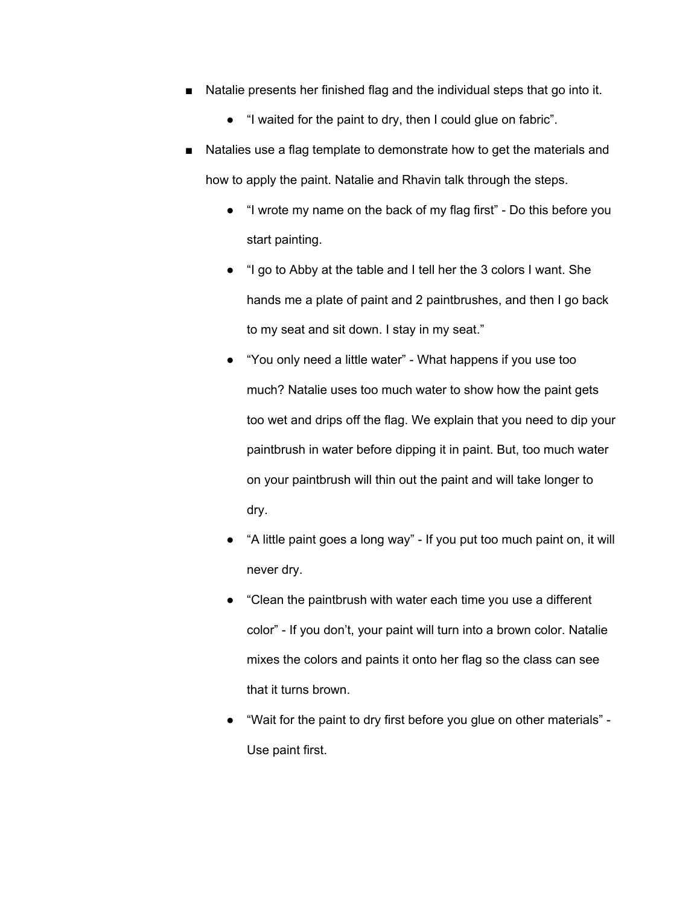- Natalie presents her finished flag and the individual steps that go into it.
	- "I waited for the paint to dry, then I could glue on fabric".
- Natalies use a flag template to demonstrate how to get the materials and how to apply the paint. Natalie and Rhavin talk through the steps.
	- "I wrote my name on the back of my flag first" Do this before you start painting.
	- "I go to Abby at the table and I tell her the 3 colors I want. She hands me a plate of paint and 2 paintbrushes, and then I go back to my seat and sit down. I stay in my seat."
	- "You only need a little water" What happens if you use too much? Natalie uses too much water to show how the paint gets too wet and drips off the flag. We explain that you need to dip your paintbrush in water before dipping it in paint. But, too much water on your paintbrush will thin out the paint and will take longer to dry.
	- "A little paint goes a long way" If you put too much paint on, it will never dry.
	- "Clean the paintbrush with water each time you use a different color" - If you don't, your paint will turn into a brown color. Natalie mixes the colors and paints it onto her flag so the class can see that it turns brown.
	- "Wait for the paint to dry first before you glue on other materials" Use paint first.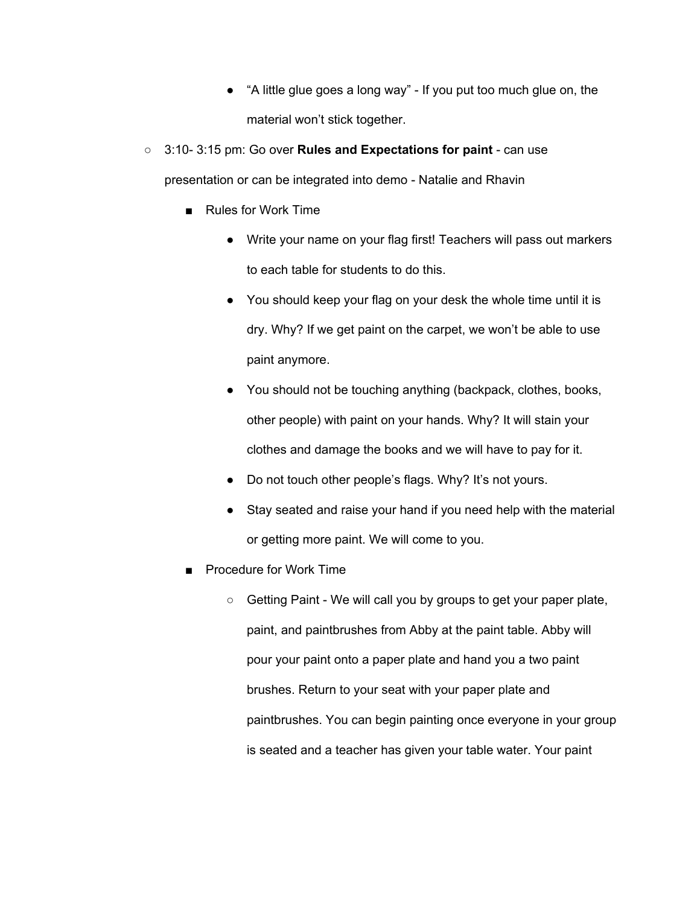- "A little glue goes a long way" If you put too much glue on, the material won't stick together.
- 3:10- 3:15 pm: Go over **Rules and Expectations for paint** can use

presentation or can be integrated into demo - Natalie and Rhavin

- Rules for Work Time
	- Write your name on your flag first! Teachers will pass out markers to each table for students to do this.
	- You should keep your flag on your desk the whole time until it is dry. Why? If we get paint on the carpet, we won't be able to use paint anymore.
	- You should not be touching anything (backpack, clothes, books, other people) with paint on your hands. Why? It will stain your clothes and damage the books and we will have to pay for it.
	- Do not touch other people's flags. Why? It's not yours.
	- Stay seated and raise your hand if you need help with the material or getting more paint. We will come to you.
- **Procedure for Work Time** 
	- Getting Paint We will call you by groups to get your paper plate, paint, and paintbrushes from Abby at the paint table. Abby will pour your paint onto a paper plate and hand you a two paint brushes. Return to your seat with your paper plate and paintbrushes. You can begin painting once everyone in your group is seated and a teacher has given your table water. Your paint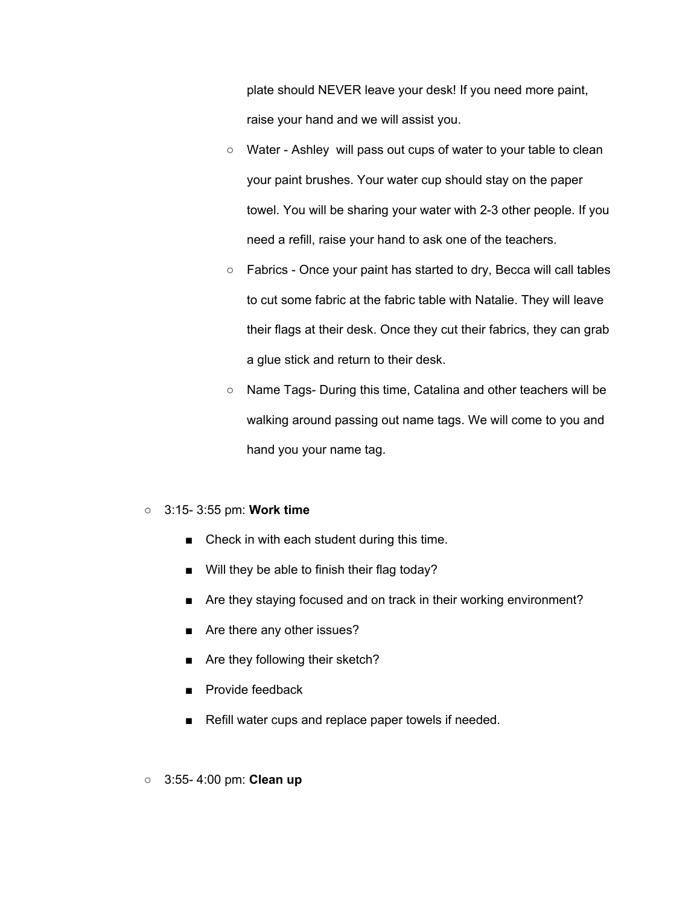plate should NEVER leave your desk! If you need more paint, raise your hand and we will assist you.

- Water Ashley will pass out cups of water to your table to clean your paint brushes. Your water cup should stay on the paper towel. You will be sharing your water with 2-3 other people. If you need a refill, raise your hand to ask one of the teachers.
- Fabrics Once your paint has started to dry, Becca will call tables to cut some fabric at the fabric table with Natalie. They will leave their flags at their desk. Once they cut their fabrics, they can grab a glue stick and return to their desk.
- Name Tags- During this time, Catalina and other teachers will be walking around passing out name tags. We will come to you and hand you your name tag.

#### ○ 3:15- 3:55 pm: **Work time**

- Check in with each student during this time.
- Will they be able to finish their flag today?
- Are they staying focused and on track in their working environment?
- Are there any other issues?
- Are they following their sketch?
- Provide feedback
- Refill water cups and replace paper towels if needed.
- 3:55- 4:00 pm: **Clean up**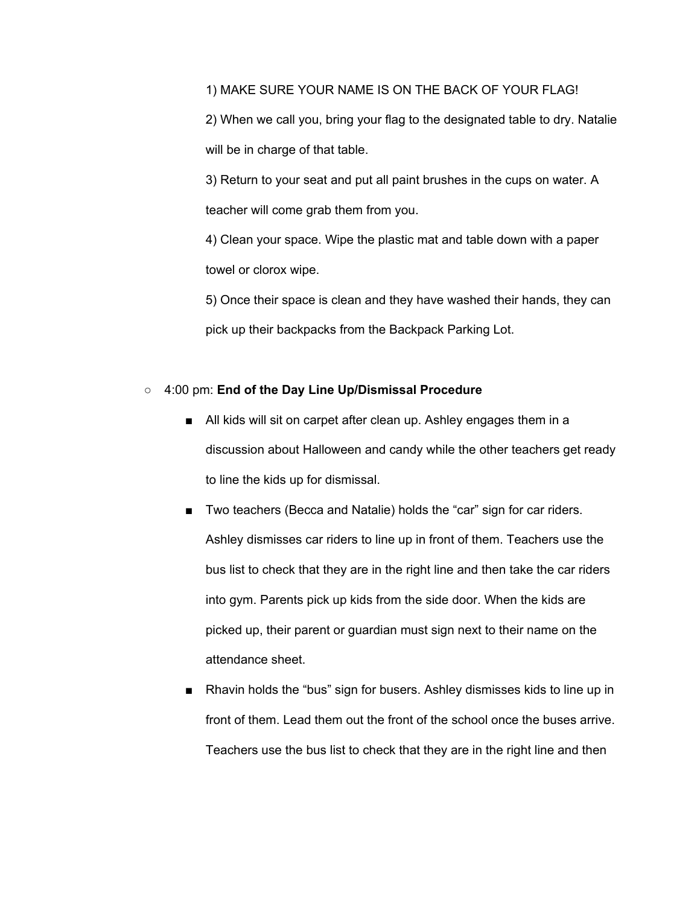1) MAKE SURE YOUR NAME IS ON THE BACK OF YOUR FLAG!

2) When we call you, bring your flag to the designated table to dry. Natalie will be in charge of that table.

3) Return to your seat and put all paint brushes in the cups on water. A teacher will come grab them from you.

4) Clean your space. Wipe the plastic mat and table down with a paper towel or clorox wipe.

5) Once their space is clean and they have washed their hands, they can pick up their backpacks from the Backpack Parking Lot.

### **○** 4:00 pm: **End of the Day Line Up/Dismissal Procedure**

- All kids will sit on carpet after clean up. Ashley engages them in a discussion about Halloween and candy while the other teachers get ready to line the kids up for dismissal.
- Two teachers (Becca and Natalie) holds the "car" sign for car riders. Ashley dismisses car riders to line up in front of them. Teachers use the bus list to check that they are in the right line and then take the car riders into gym. Parents pick up kids from the side door. When the kids are picked up, their parent or guardian must sign next to their name on the attendance sheet.
- Rhavin holds the "bus" sign for busers. Ashley dismisses kids to line up in front of them. Lead them out the front of the school once the buses arrive. Teachers use the bus list to check that they are in the right line and then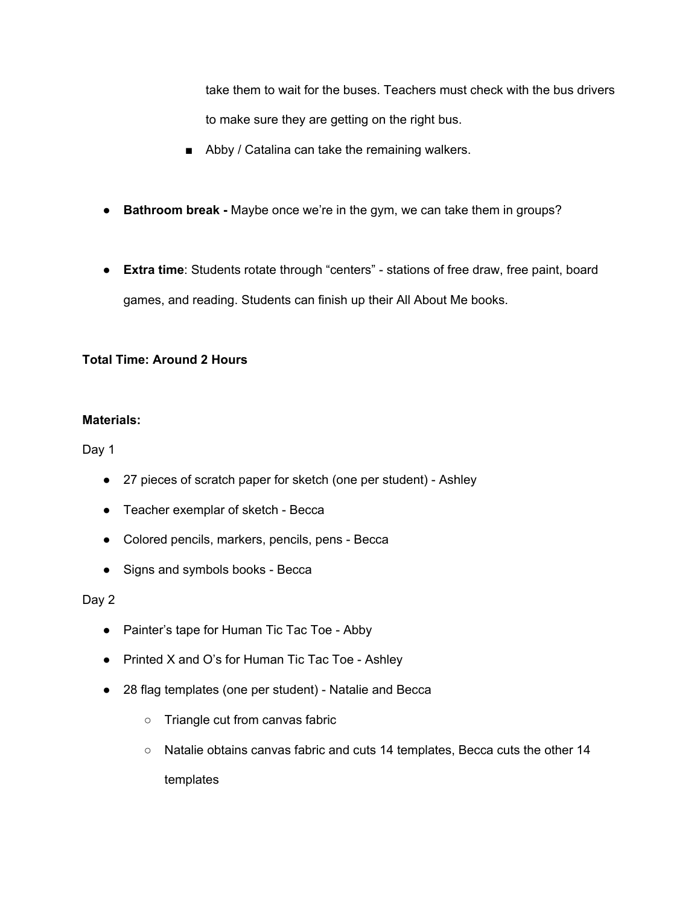take them to wait for the buses. Teachers must check with the bus drivers to make sure they are getting on the right bus.

- Abby / Catalina can take the remaining walkers.
- **Bathroom break -** Maybe once we're in the gym, we can take them in groups?
- **Extra time**: Students rotate through "centers" stations of free draw, free paint, board games, and reading. Students can finish up their All About Me books.

## **Total Time: Around 2 Hours**

### **Materials:**

Day 1

- 27 pieces of scratch paper for sketch (one per student) Ashley
- Teacher exemplar of sketch Becca
- Colored pencils, markers, pencils, pens Becca
- Signs and symbols books Becca

Day 2

- Painter's tape for Human Tic Tac Toe Abby
- Printed X and O's for Human Tic Tac Toe Ashley
- 28 flag templates (one per student) Natalie and Becca
	- Triangle cut from canvas fabric
	- Natalie obtains canvas fabric and cuts 14 templates, Becca cuts the other 14 templates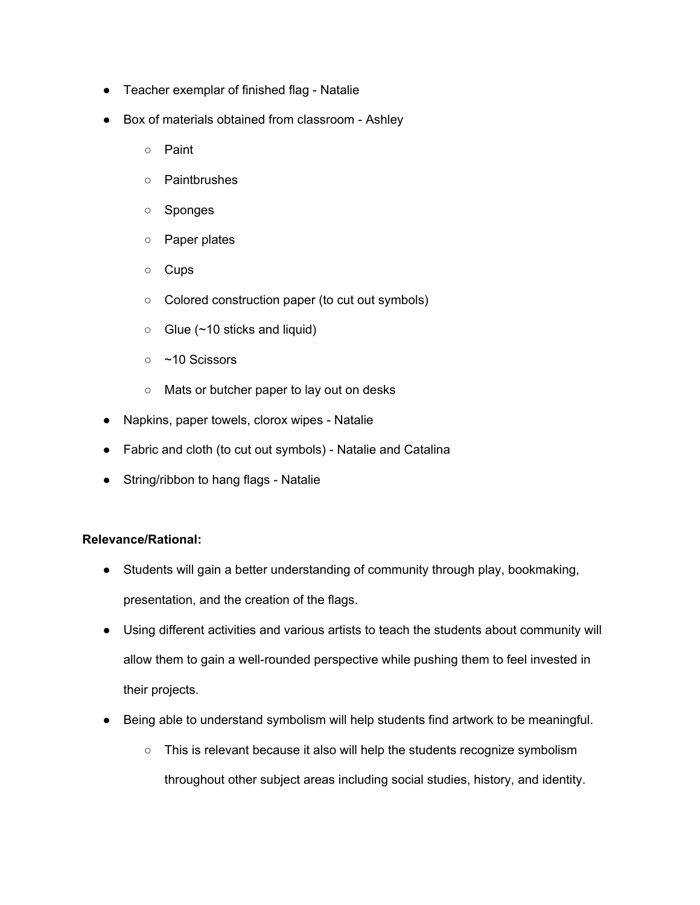- Teacher exemplar of finished flag Natalie
- Box of materials obtained from classroom Ashley
	- Paint
	- Paintbrushes
	- Sponges
	- Paper plates
	- Cups
	- Colored construction paper (to cut out symbols)
	- $\circ$  Glue (~10 sticks and liquid)
	- ~10 Scissors
	- Mats or butcher paper to lay out on desks
- Napkins, paper towels, clorox wipes Natalie
- Fabric and cloth (to cut out symbols) Natalie and Catalina
- String/ribbon to hang flags Natalie

### **Relevance/Rational:**

- Students will gain a better understanding of community through play, bookmaking, presentation, and the creation of the flags.
- Using different activities and various artists to teach the students about community will allow them to gain a well-rounded perspective while pushing them to feel invested in their projects.
- Being able to understand symbolism will help students find artwork to be meaningful.
	- This is relevant because it also will help the students recognize symbolism throughout other subject areas including social studies, history, and identity.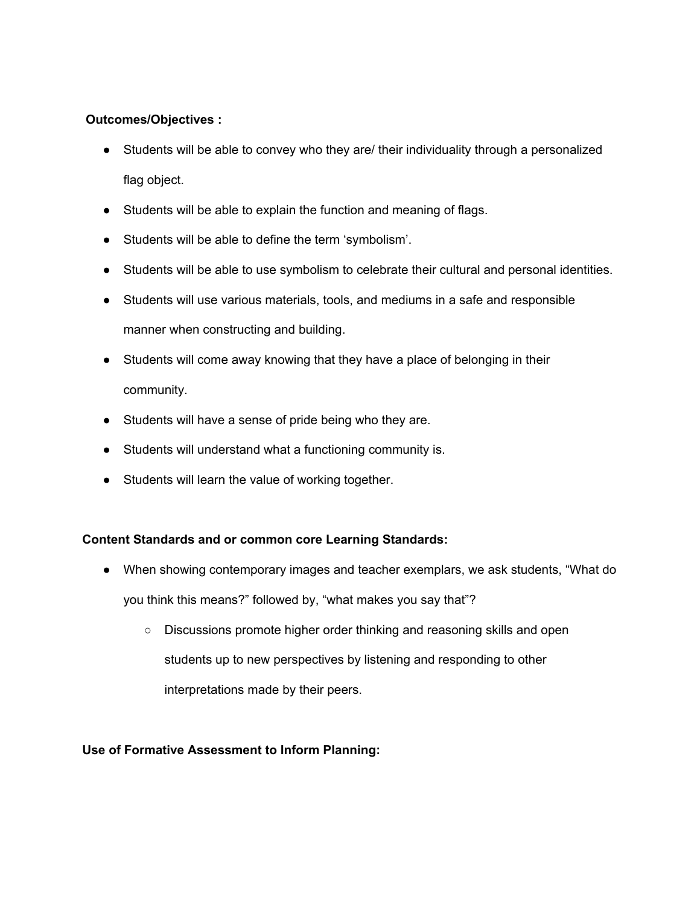## **Outcomes/Objectives :**

- Students will be able to convey who they are/ their individuality through a personalized flag object.
- Students will be able to explain the function and meaning of flags.
- Students will be able to define the term 'symbolism'.
- Students will be able to use symbolism to celebrate their cultural and personal identities.
- Students will use various materials, tools, and mediums in a safe and responsible manner when constructing and building.
- Students will come away knowing that they have a place of belonging in their community.
- Students will have a sense of pride being who they are.
- Students will understand what a functioning community is.
- Students will learn the value of working together.

# **Content Standards and or common core Learning Standards:**

- When showing contemporary images and teacher exemplars, we ask students, "What do you think this means?" followed by, "what makes you say that"?
	- Discussions promote higher order thinking and reasoning skills and open students up to new perspectives by listening and responding to other interpretations made by their peers.

# **Use of Formative Assessment to Inform Planning:**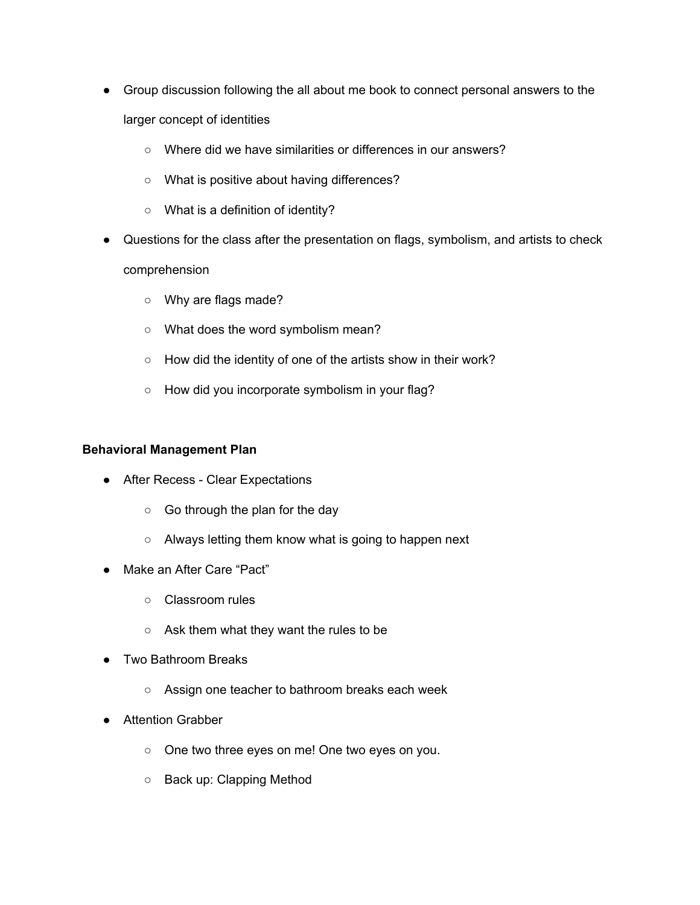- Group discussion following the all about me book to connect personal answers to the larger concept of identities
	- Where did we have similarities or differences in our answers?
	- What is positive about having differences?
	- What is a definition of identity?
- Questions for the class after the presentation on flags, symbolism, and artists to check comprehension
	- Why are flags made?
	- What does the word symbolism mean?
	- How did the identity of one of the artists show in their work?
	- How did you incorporate symbolism in your flag?

#### **Behavioral Management Plan**

- After Recess Clear Expectations
	- Go through the plan for the day
	- Always letting them know what is going to happen next
- Make an After Care "Pact"
	- Classroom rules
	- Ask them what they want the rules to be
- Two Bathroom Breaks
	- Assign one teacher to bathroom breaks each week
- Attention Grabber
	- One two three eyes on me! One two eyes on you.
	- Back up: Clapping Method